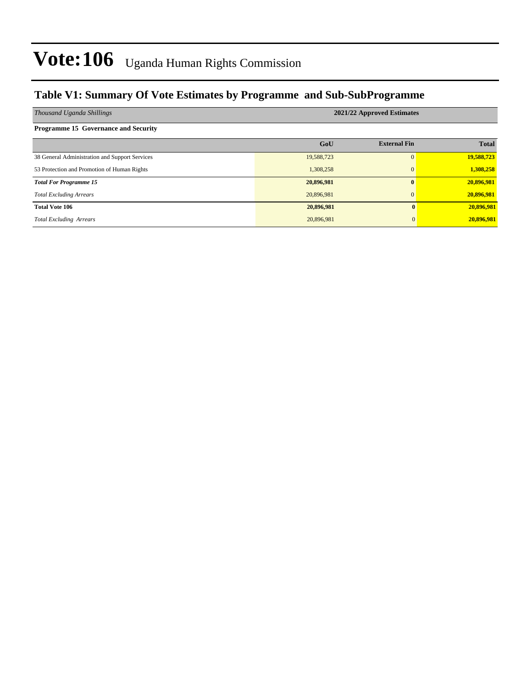### **Table V1: Summary Of Vote Estimates by Programme and Sub-SubProgramme**

| Thousand Uganda Shillings                      |            | 2021/22 Approved Estimates |              |
|------------------------------------------------|------------|----------------------------|--------------|
| <b>Programme 15 Governance and Security</b>    |            |                            |              |
|                                                | GoU        | <b>External Fin</b>        | <b>Total</b> |
| 38 General Administration and Support Services | 19,588,723 | $\Omega$                   | 19,588,723   |
| 53 Protection and Promotion of Human Rights    | 1,308,258  | $\mathbf{0}$               | 1,308,258    |
| <b>Total For Programme 15</b>                  | 20,896,981 |                            | 20,896,981   |
| <b>Total Excluding Arrears</b>                 | 20,896,981 | $\Omega$                   | 20,896,981   |
| <b>Total Vote 106</b>                          | 20,896,981 | 0                          | 20,896,981   |
| <b>Total Excluding Arrears</b>                 | 20,896,981 | $\Omega$                   | 20,896,981   |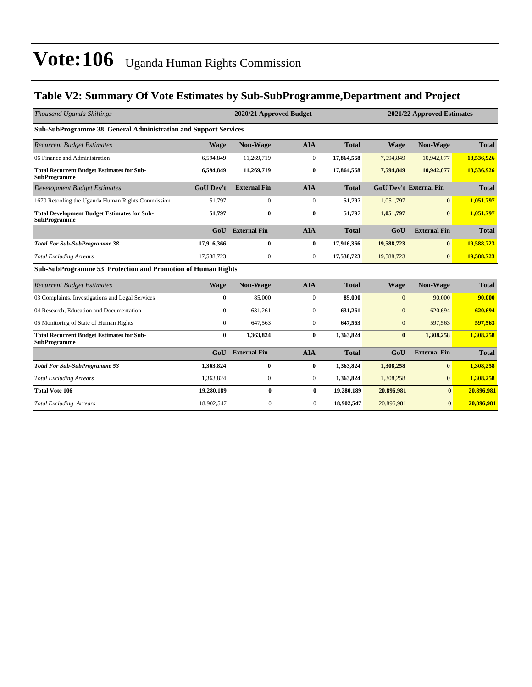### **Table V2: Summary Of Vote Estimates by Sub-SubProgramme,Department and Project**

| Thousand Uganda Shillings                                                 |                  | 2020/21 Approved Budget |                  |              |                | 2021/22 Approved Estimates    |              |
|---------------------------------------------------------------------------|------------------|-------------------------|------------------|--------------|----------------|-------------------------------|--------------|
| Sub-SubProgramme 38 General Administration and Support Services           |                  |                         |                  |              |                |                               |              |
| <b>Recurrent Budget Estimates</b>                                         | <b>Wage</b>      | Non-Wage                | <b>AIA</b>       | <b>Total</b> | <b>Wage</b>    | Non-Wage                      | <b>Total</b> |
| 06 Finance and Administration                                             | 6.594.849        | 11,269,719              | $\overline{0}$   | 17,864,568   | 7,594,849      | 10,942,077                    | 18,536,926   |
| <b>Total Recurrent Budget Estimates for Sub-</b><br><b>SubProgramme</b>   | 6,594,849        | 11,269,719              | $\bf{0}$         | 17,864,568   | 7,594,849      | 10,942,077                    | 18,536,926   |
| <b>Development Budget Estimates</b>                                       | <b>GoU Dev't</b> | <b>External Fin</b>     | <b>AIA</b>       | <b>Total</b> |                | <b>GoU Dev't External Fin</b> | <b>Total</b> |
| 1670 Retooling the Uganda Human Rights Commission                         | 51,797           | $\mathbf{0}$            | $\mathbf{0}$     | 51,797       | 1,051,797      | $\Omega$                      | 1,051,797    |
| <b>Total Development Budget Estimates for Sub-</b><br><b>SubProgramme</b> | 51,797           | $\bf{0}$                | $\bf{0}$         | 51,797       | 1,051,797      | $\mathbf{0}$                  | 1,051,797    |
|                                                                           | GoU              | <b>External Fin</b>     | <b>AIA</b>       | <b>Total</b> | GoU            | <b>External Fin</b>           | <b>Total</b> |
| <b>Total For Sub-SubProgramme 38</b>                                      | 17,916,366       | $\bf{0}$                | $\bf{0}$         | 17,916,366   | 19,588,723     | $\bf{0}$                      | 19,588,723   |
| <b>Total Excluding Arrears</b>                                            | 17,538,723       | $\mathbf{0}$            | $\mathbf{0}$     | 17,538,723   | 19,588,723     | $\overline{0}$                | 19,588,723   |
| Sub-SubProgramme 53 Protection and Promotion of Human Rights              |                  |                         |                  |              |                |                               |              |
| <b>Recurrent Budget Estimates</b>                                         | <b>Wage</b>      | Non-Wage                | <b>AIA</b>       | <b>Total</b> | <b>Wage</b>    | Non-Wage                      | <b>Total</b> |
| 03 Complaints, Investigations and Legal Services                          | $\mathbf{0}$     | 85,000                  | $\mathbf{0}$     | 85,000       | $\mathbf{0}$   | 90,000                        | 90,000       |
| 04 Research, Education and Documentation                                  | $\mathbf{0}$     | 631.261                 | $\mathbf{0}$     | 631,261      | $\overline{0}$ | 620.694                       | 620,694      |
| 05 Monitoring of State of Human Rights                                    | 0                | 647,563                 | $\boldsymbol{0}$ | 647,563      | $\mathbf{0}$   | 597,563                       | 597,563      |
| <b>Total Recurrent Budget Estimates for Sub-</b><br><b>SubProgramme</b>   | $\bf{0}$         | 1,363,824               | $\bf{0}$         | 1,363,824    | $\bf{0}$       | 1,308,258                     | 1,308,258    |
|                                                                           | GoU              | <b>External Fin</b>     | <b>AIA</b>       | <b>Total</b> | GoU            | <b>External Fin</b>           | <b>Total</b> |
| <b>Total For Sub-SubProgramme 53</b>                                      | 1,363,824        | $\bf{0}$                | $\bf{0}$         | 1,363,824    | 1,308,258      | $\bf{0}$                      | 1,308,258    |
| <b>Total Excluding Arrears</b>                                            | 1,363,824        | $\mathbf{0}$            | $\mathbf{0}$     | 1,363,824    | 1,308,258      | $\overline{0}$                | 1,308,258    |
| <b>Total Vote 106</b>                                                     | 19,280,189       | $\bf{0}$                | $\bf{0}$         | 19,280,189   | 20,896,981     | $\bf{0}$                      | 20,896,981   |
| <b>Total Excluding Arrears</b>                                            | 18,902,547       | $\boldsymbol{0}$        | $\mathbf{0}$     | 18,902,547   | 20,896,981     | $\boldsymbol{0}$              | 20,896,981   |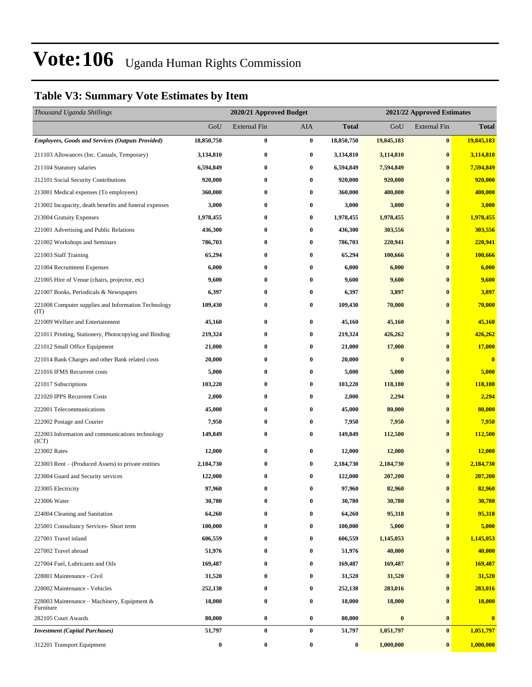### **Table V3: Summary Vote Estimates by Item**

| Thousand Uganda Shillings                                   |            | 2020/21 Approved Budget |            |                  |            | 2021/22 Approved Estimates |                         |
|-------------------------------------------------------------|------------|-------------------------|------------|------------------|------------|----------------------------|-------------------------|
|                                                             | GoU        | External Fin            | <b>AIA</b> | <b>Total</b>     | GoU        | <b>External Fin</b>        | <b>Total</b>            |
| <b>Employees, Goods and Services (Outputs Provided)</b>     | 18,850,750 | 0                       | $\bf{0}$   | 18,850,750       | 19,845,183 | $\bf{0}$                   | 19,845,183              |
| 211103 Allowances (Inc. Casuals, Temporary)                 | 3,134,810  | 0                       | $\bf{0}$   | 3,134,810        | 3,114,810  | $\bf{0}$                   | 3,114,810               |
| 211104 Statutory salaries                                   | 6,594,849  | 0                       | $\bf{0}$   | 6,594,849        | 7,594,849  | $\bf{0}$                   | 7,594,849               |
| 212101 Social Security Contributions                        | 920,000    | 0                       | $\bf{0}$   | 920,000          | 920,000    | $\bf{0}$                   | 920,000                 |
| 213001 Medical expenses (To employees)                      | 360,000    | 0                       | $\bf{0}$   | 360,000          | 400,000    | $\bf{0}$                   | 400,000                 |
| 213002 Incapacity, death benefits and funeral expenses      | 3,000      | $\bf{0}$                | $\bf{0}$   | 3,000            | 3,000      | $\bf{0}$                   | 3,000                   |
| 213004 Gratuity Expenses                                    | 1,978,455  | 0                       | $\bf{0}$   | 1,978,455        | 1,978,455  | $\bf{0}$                   | 1,978,455               |
| 221001 Advertising and Public Relations                     | 436,300    | 0                       | $\bf{0}$   | 436,300          | 303,556    | $\bf{0}$                   | 303,556                 |
| 221002 Workshops and Seminars                               | 786,703    | 0                       | $\bf{0}$   | 786,703          | 220,941    | $\bf{0}$                   | 220,941                 |
| 221003 Staff Training                                       | 65,294     | 0                       | $\bf{0}$   | 65,294           | 100,666    | $\bf{0}$                   | 100,666                 |
| 221004 Recruitment Expenses                                 | 6,000      | 0                       | $\bf{0}$   | 6,000            | 6,000      | $\bf{0}$                   | 6,000                   |
| 221005 Hire of Venue (chairs, projector, etc)               | 9,600      | 0                       | $\bf{0}$   | 9,600            | 9,600      | $\bf{0}$                   | 9,600                   |
| 221007 Books, Periodicals & Newspapers                      | 6,397      | 0                       | $\bf{0}$   | 6,397            | 3,897      | $\bf{0}$                   | 3,897                   |
| 221008 Computer supplies and Information Technology<br>(TT) | 109,430    | 0                       | $\bf{0}$   | 109,430          | 70,000     | $\bf{0}$                   | 70,000                  |
| 221009 Welfare and Entertainment                            | 45,160     | 0                       | $\bf{0}$   | 45,160           | 45,160     | $\bf{0}$                   | 45,160                  |
| 221011 Printing, Stationery, Photocopying and Binding       | 219,324    | 0                       | $\bf{0}$   | 219,324          | 426,262    | $\bf{0}$                   | 426,262                 |
| 221012 Small Office Equipment                               | 21,000     | 0                       | $\bf{0}$   | 21,000           | 17,000     | $\bf{0}$                   | 17,000                  |
| 221014 Bank Charges and other Bank related costs            | 20,000     | 0                       | $\bf{0}$   | 20,000           | $\bf{0}$   | $\bf{0}$                   | $\bf{0}$                |
| 221016 IFMS Recurrent costs                                 | 5,000      | 0                       | $\bf{0}$   | 5,000            | 5,000      | $\bf{0}$                   | 5,000                   |
| 221017 Subscriptions                                        | 103,220    | 0                       | $\bf{0}$   | 103,220          | 118,180    | $\bf{0}$                   | 118,180                 |
| 221020 IPPS Recurrent Costs                                 | 2,000      | 0                       | $\bf{0}$   | 2,000            | 2,294      | $\bf{0}$                   | 2,294                   |
| 222001 Telecommunications                                   | 45,000     | 0                       | $\bf{0}$   | 45,000           | 80,000     | $\bf{0}$                   | 80,000                  |
| 222002 Postage and Courier                                  | 7,950      | 0                       | $\bf{0}$   | 7,950            | 7,950      | $\bf{0}$                   | 7,950                   |
| 222003 Information and communications technology<br>(ICT)   | 149,849    | 0                       | $\bf{0}$   | 149,849          | 112,500    | $\bf{0}$                   | 112,500                 |
| 223002 Rates                                                | 12,000     | 0                       | $\bf{0}$   | 12,000           | 12,000     | $\bf{0}$                   | 12,000                  |
| 223003 Rent - (Produced Assets) to private entities         | 2,184,730  | $\bf{0}$                | $\bf{0}$   | 2,184,730        | 2,184,730  | $\bf{0}$                   | 2,184,730               |
| 223004 Guard and Security services                          | 122,000    | 0                       | $\bf{0}$   | 122,000          | 207,200    | $\bf{0}$                   | 207,200                 |
| 223005 Electricity                                          | 97,960     | 0                       | $\bf{0}$   | 97,960           | 82,960     | $\bf{0}$                   | 82,960                  |
| 223006 Water                                                | 30,780     | 0                       | $\bf{0}$   | 30,780           | 30,780     | $\bf{0}$                   | 30,780                  |
| 224004 Cleaning and Sanitation                              | 64,260     | 0                       | $\bf{0}$   | 64,260           | 95,318     | $\bf{0}$                   | 95,318                  |
| 225001 Consultancy Services- Short term                     | 100,000    | 0                       | $\bf{0}$   | 100,000          | 5,000      | $\bf{0}$                   | 5,000                   |
| 227001 Travel inland                                        | 606,559    | 0                       | $\bf{0}$   | 606,559          | 1,145,053  | $\bf{0}$                   | 1,145,053               |
| 227002 Travel abroad                                        | 51,976     | 0                       | $\bf{0}$   | 51,976           | 40,000     | $\bf{0}$                   | 40,000                  |
| 227004 Fuel, Lubricants and Oils                            | 169,487    | $\bf{0}$                | $\bf{0}$   | 169,487          | 169,487    | $\bf{0}$                   | 169,487                 |
| 228001 Maintenance - Civil                                  | 31,520     | 0                       | $\bf{0}$   | 31,520           | 31,520     | $\bf{0}$                   | 31,520                  |
| 228002 Maintenance - Vehicles                               | 252,138    | 0                       | $\bf{0}$   | 252,138          | 283,016    | $\bf{0}$                   | 283,016                 |
| 228003 Maintenance – Machinery, Equipment &<br>Furniture    | 18,000     | 0                       | $\bf{0}$   | 18,000           | 18,000     | $\bf{0}$                   | <b>18,000</b>           |
| 282105 Court Awards                                         | 80,000     | 0                       | $\bf{0}$   | 80,000           | $\bf{0}$   | $\bf{0}$                   | $\overline{\mathbf{0}}$ |
| <b>Investment</b> (Capital Purchases)                       | 51,797     | $\bf{0}$                | $\bf{0}$   | 51,797           | 1,051,797  | $\bf{0}$                   | 1,051,797               |
| 312201 Transport Equipment                                  | $\bf{0}$   | $\bf{0}$                | $\bf{0}$   | $\boldsymbol{0}$ | 1,000,000  | $\bf{0}$                   | 1,000,000               |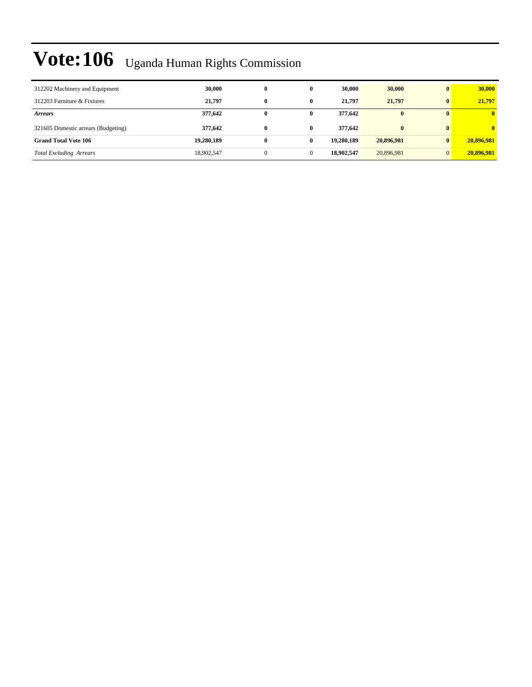| 312202 Machinery and Equipment      | 30,000     | $\bf{0}$ |   | 30,000     | 30,000       | $\mathbf{0}$ | 30,000       |
|-------------------------------------|------------|----------|---|------------|--------------|--------------|--------------|
| 312203 Furniture & Fixtures         | 21,797     | 0        | 0 | 21,797     | 21,797       | $\mathbf{0}$ | 21,797       |
| <i>Arrears</i>                      | 377,642    | 0        | 0 | 377,642    | $\bf{0}$     |              | $\mathbf{0}$ |
| 321605 Domestic arrears (Budgeting) | 377,642    | 0        | 0 | 377,642    | $\mathbf{0}$ |              | $\mathbf{0}$ |
| <b>Grand Total Vote 106</b>         | 19,280,189 | 0        | 0 | 19,280,189 | 20,896,981   | $\mathbf{0}$ | 20,896,981   |
| <b>Total Excluding Arrears</b>      | 18,902,547 |          |   | 18,902,547 | 20,896,981   | $\Omega$     | 20,896,981   |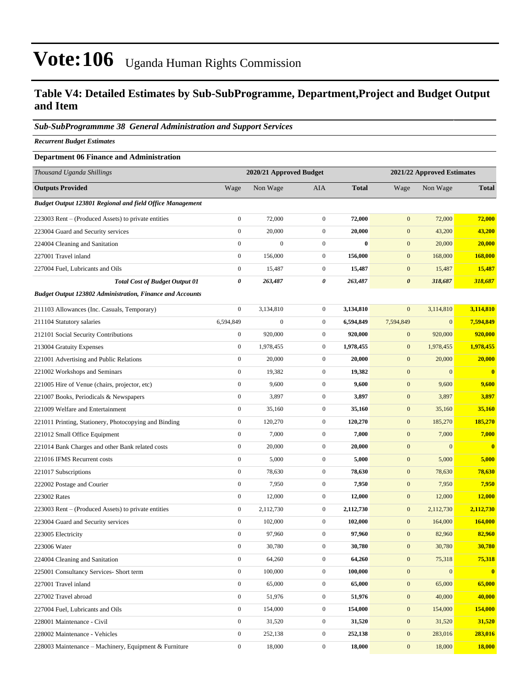### **Table V4: Detailed Estimates by Sub-SubProgramme, Department,Project and Budget Output and Item**

#### *Sub-SubProgrammme 38 General Administration and Support Services*

*Recurrent Budget Estimates*

#### **Department 06 Finance and Administration**

| Thousand Uganda Shillings                                        |                  | 2020/21 Approved Budget |                  |              |                       | 2021/22 Approved Estimates |              |
|------------------------------------------------------------------|------------------|-------------------------|------------------|--------------|-----------------------|----------------------------|--------------|
| <b>Outputs Provided</b>                                          | Wage             | Non Wage                | <b>AIA</b>       | <b>Total</b> | Wage                  | Non Wage                   | <b>Total</b> |
| Budget Output 123801 Regional and field Office Management        |                  |                         |                  |              |                       |                            |              |
| 223003 Rent – (Produced Assets) to private entities              | $\boldsymbol{0}$ | 72,000                  | $\overline{0}$   | 72,000       | $\mathbf{0}$          | 72,000                     | 72,000       |
| 223004 Guard and Security services                               | $\boldsymbol{0}$ | 20,000                  | $\boldsymbol{0}$ | 20,000       | $\mathbf{0}$          | 43,200                     | 43,200       |
| 224004 Cleaning and Sanitation                                   | $\boldsymbol{0}$ | $\boldsymbol{0}$        | $\boldsymbol{0}$ | $\bf{0}$     | $\mathbf{0}$          | 20,000                     | 20,000       |
| 227001 Travel inland                                             | $\boldsymbol{0}$ | 156,000                 | $\boldsymbol{0}$ | 156,000      | $\mathbf{0}$          | 168,000                    | 168,000      |
| 227004 Fuel, Lubricants and Oils                                 | $\boldsymbol{0}$ | 15,487                  | $\boldsymbol{0}$ | 15,487       | $\mathbf{0}$          | 15,487                     | 15,487       |
| <b>Total Cost of Budget Output 01</b>                            | 0                | 263,487                 | 0                | 263,487      | $\boldsymbol{\theta}$ | 318,687                    | 318,687      |
| <b>Budget Output 123802 Administration, Finance and Accounts</b> |                  |                         |                  |              |                       |                            |              |
| 211103 Allowances (Inc. Casuals, Temporary)                      | $\boldsymbol{0}$ | 3,134,810               | $\boldsymbol{0}$ | 3,134,810    | $\mathbf{0}$          | 3,114,810                  | 3,114,810    |
| 211104 Statutory salaries                                        | 6,594,849        | $\boldsymbol{0}$        | $\boldsymbol{0}$ | 6,594,849    | 7,594,849             | $\mathbf{0}$               | 7,594,849    |
| 212101 Social Security Contributions                             | $\boldsymbol{0}$ | 920,000                 | $\boldsymbol{0}$ | 920,000      | $\mathbf{0}$          | 920,000                    | 920,000      |
| 213004 Gratuity Expenses                                         | $\boldsymbol{0}$ | 1,978,455               | $\boldsymbol{0}$ | 1,978,455    | $\mathbf{0}$          | 1,978,455                  | 1,978,455    |
| 221001 Advertising and Public Relations                          | $\boldsymbol{0}$ | 20,000                  | $\boldsymbol{0}$ | 20,000       | $\boldsymbol{0}$      | 20,000                     | 20,000       |
| 221002 Workshops and Seminars                                    | $\boldsymbol{0}$ | 19,382                  | $\boldsymbol{0}$ | 19,382       | $\mathbf{0}$          | $\boldsymbol{0}$           | $\bf{0}$     |
| 221005 Hire of Venue (chairs, projector, etc)                    | $\boldsymbol{0}$ | 9,600                   | $\boldsymbol{0}$ | 9,600        | $\mathbf{0}$          | 9,600                      | 9,600        |
| 221007 Books, Periodicals & Newspapers                           | $\boldsymbol{0}$ | 3,897                   | $\boldsymbol{0}$ | 3,897        | $\mathbf{0}$          | 3,897                      | 3,897        |
| 221009 Welfare and Entertainment                                 | $\boldsymbol{0}$ | 35,160                  | $\mathbf{0}$     | 35,160       | $\mathbf{0}$          | 35,160                     | 35,160       |
| 221011 Printing, Stationery, Photocopying and Binding            | $\boldsymbol{0}$ | 120,270                 | $\boldsymbol{0}$ | 120,270      | $\mathbf{0}$          | 185,270                    | 185,270      |
| 221012 Small Office Equipment                                    | $\boldsymbol{0}$ | 7,000                   | $\boldsymbol{0}$ | 7,000        | $\mathbf{0}$          | 7,000                      | 7,000        |
| 221014 Bank Charges and other Bank related costs                 | $\boldsymbol{0}$ | 20,000                  | $\boldsymbol{0}$ | 20,000       | $\mathbf{0}$          | $\boldsymbol{0}$           | $\bf{0}$     |
| 221016 IFMS Recurrent costs                                      | $\boldsymbol{0}$ | 5,000                   | $\boldsymbol{0}$ | 5,000        | $\mathbf{0}$          | 5,000                      | 5,000        |
| 221017 Subscriptions                                             | $\boldsymbol{0}$ | 78,630                  | $\mathbf{0}$     | 78,630       | $\mathbf{0}$          | 78,630                     | 78,630       |
| 222002 Postage and Courier                                       | $\boldsymbol{0}$ | 7,950                   | $\boldsymbol{0}$ | 7,950        | $\mathbf{0}$          | 7,950                      | 7,950        |
| 223002 Rates                                                     | $\boldsymbol{0}$ | 12,000                  | $\boldsymbol{0}$ | 12,000       | $\mathbf{0}$          | 12,000                     | 12,000       |
| 223003 Rent – (Produced Assets) to private entities              | $\boldsymbol{0}$ | 2,112,730               | $\boldsymbol{0}$ | 2,112,730    | $\mathbf{0}$          | 2,112,730                  | 2,112,730    |
| 223004 Guard and Security services                               | $\boldsymbol{0}$ | 102,000                 | $\boldsymbol{0}$ | 102,000      | $\mathbf{0}$          | 164,000                    | 164,000      |
| 223005 Electricity                                               | $\boldsymbol{0}$ | 97,960                  | $\boldsymbol{0}$ | 97,960       | $\mathbf{0}$          | 82,960                     | 82,960       |
| 223006 Water                                                     | $\boldsymbol{0}$ | 30,780                  | $\boldsymbol{0}$ | 30,780       | $\mathbf{0}$          | 30,780                     | 30,780       |
| 224004 Cleaning and Sanitation                                   | $\boldsymbol{0}$ | 64,260                  | $\boldsymbol{0}$ | 64,260       | $\boldsymbol{0}$      | 75,318                     | 75,318       |
| 225001 Consultancy Services- Short term                          | $\boldsymbol{0}$ | 100,000                 | $\boldsymbol{0}$ | 100,000      | $\mathbf{0}$          | $\boldsymbol{0}$           | $\mathbf{0}$ |
| 227001 Travel inland                                             | $\boldsymbol{0}$ | 65,000                  | $\boldsymbol{0}$ | 65,000       | $\boldsymbol{0}$      | 65,000                     | 65,000       |
| 227002 Travel abroad                                             | $\mathbf{0}$     | 51,976                  | $\boldsymbol{0}$ | 51,976       | $\boldsymbol{0}$      | 40,000                     | 40,000       |
| 227004 Fuel, Lubricants and Oils                                 | $\boldsymbol{0}$ | 154,000                 | $\boldsymbol{0}$ | 154,000      | $\mathbf{0}$          | 154,000                    | 154,000      |
| 228001 Maintenance - Civil                                       | $\mathbf{0}$     | 31,520                  | $\boldsymbol{0}$ | 31,520       | $\boldsymbol{0}$      | 31,520                     | 31,520       |
| 228002 Maintenance - Vehicles                                    | $\boldsymbol{0}$ | 252,138                 | $\boldsymbol{0}$ | 252,138      | $\mathbf{0}$          | 283,016                    | 283,016      |
| 228003 Maintenance - Machinery, Equipment & Furniture            | $\boldsymbol{0}$ | 18,000                  | $\boldsymbol{0}$ | 18,000       | $\boldsymbol{0}$      | 18,000                     | 18,000       |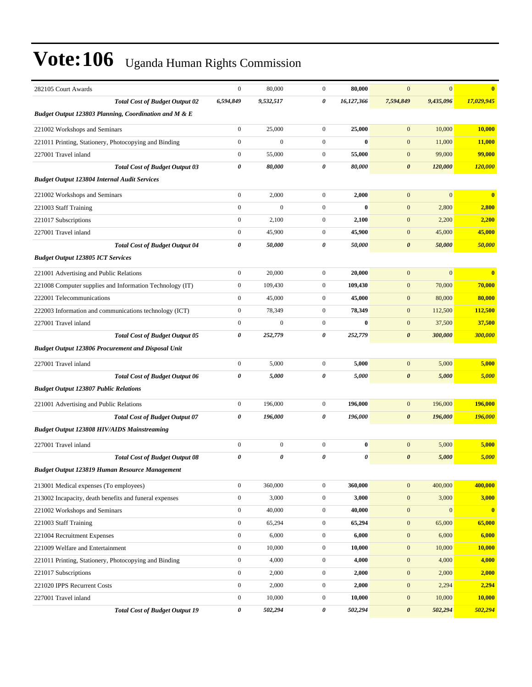| 282105 Court Awards                                       | $\boldsymbol{0}$ | 80,000           | $\mathbf{0}$     | 80,000     | $\boldsymbol{0}$      | $\mathbf{0}$ | $\bf{0}$      |
|-----------------------------------------------------------|------------------|------------------|------------------|------------|-----------------------|--------------|---------------|
| <b>Total Cost of Budget Output 02</b>                     | 6,594,849        | 9,532,517        | 0                | 16,127,366 | 7,594,849             | 9,435,096    | 17,029,945    |
| Budget Output 123803 Planning, Coordination and M & E     |                  |                  |                  |            |                       |              |               |
| 221002 Workshops and Seminars                             | $\boldsymbol{0}$ | 25,000           | $\mathbf{0}$     | 25,000     | $\mathbf{0}$          | 10,000       | 10,000        |
| 221011 Printing, Stationery, Photocopying and Binding     | $\boldsymbol{0}$ | $\boldsymbol{0}$ | $\boldsymbol{0}$ | $\bf{0}$   | $\mathbf{0}$          | 11,000       | <b>11,000</b> |
| 227001 Travel inland                                      | $\boldsymbol{0}$ | 55,000           | $\mathbf{0}$     | 55,000     | $\mathbf{0}$          | 99,000       | 99,000        |
| <b>Total Cost of Budget Output 03</b>                     | 0                | 80,000           | 0                | 80,000     | $\boldsymbol{\theta}$ | 120,000      | 120,000       |
| <b>Budget Output 123804 Internal Audit Services</b>       |                  |                  |                  |            |                       |              |               |
| 221002 Workshops and Seminars                             | $\boldsymbol{0}$ | 2,000            | $\mathbf{0}$     | 2,000      | $\mathbf{0}$          | $\mathbf{0}$ | $\bf{0}$      |
| 221003 Staff Training                                     | $\boldsymbol{0}$ | $\overline{0}$   | $\mathbf{0}$     | $\bf{0}$   | $\mathbf{0}$          | 2,800        | 2,800         |
| 221017 Subscriptions                                      | $\boldsymbol{0}$ | 2,100            | $\mathbf{0}$     | 2,100      | $\mathbf{0}$          | 2,200        | 2,200         |
| 227001 Travel inland                                      | $\boldsymbol{0}$ | 45,900           | $\mathbf{0}$     | 45,900     | $\mathbf{0}$          | 45,000       | 45,000        |
| <b>Total Cost of Budget Output 04</b>                     | 0                | 50,000           | 0                | 50,000     | $\boldsymbol{\theta}$ | 50,000       | 50,000        |
| <b>Budget Output 123805 ICT Services</b>                  |                  |                  |                  |            |                       |              |               |
| 221001 Advertising and Public Relations                   | $\boldsymbol{0}$ | 20,000           | $\mathbf{0}$     | 20,000     | $\mathbf{0}$          | $\mathbf{0}$ | $\bf{0}$      |
| 221008 Computer supplies and Information Technology (IT)  | $\boldsymbol{0}$ | 109,430          | $\mathbf{0}$     | 109,430    | $\mathbf{0}$          | 70,000       | 70,000        |
| 222001 Telecommunications                                 | $\boldsymbol{0}$ | 45,000           | $\mathbf{0}$     | 45,000     | $\mathbf{0}$          | 80,000       | 80,000        |
| 222003 Information and communications technology (ICT)    | $\boldsymbol{0}$ | 78,349           | $\mathbf{0}$     | 78,349     | $\mathbf{0}$          | 112,500      | 112,500       |
| 227001 Travel inland                                      | $\boldsymbol{0}$ | $\mathbf{0}$     | $\boldsymbol{0}$ | $\bf{0}$   | $\mathbf{0}$          | 37,500       | 37,500        |
| <b>Total Cost of Budget Output 05</b>                     | 0                | 252,779          | 0                | 252,779    | $\boldsymbol{\theta}$ | 300,000      | 300,000       |
| <b>Budget Output 123806 Procurement and Disposal Unit</b> |                  |                  |                  |            |                       |              |               |
| 227001 Travel inland                                      | $\boldsymbol{0}$ | 5,000            | $\boldsymbol{0}$ | 5,000      | $\mathbf{0}$          | 5,000        | 5,000         |
| <b>Total Cost of Budget Output 06</b>                     | 0                | 5,000            | 0                | 5,000      | $\boldsymbol{\theta}$ | 5,000        | 5,000         |
| <b>Budget Output 123807 Public Relations</b>              |                  |                  |                  |            |                       |              |               |
| 221001 Advertising and Public Relations                   | $\boldsymbol{0}$ | 196,000          | $\mathbf{0}$     | 196,000    | $\mathbf{0}$          | 196,000      | 196,000       |
| <b>Total Cost of Budget Output 07</b>                     | 0                | 196,000          | 0                | 196,000    | $\boldsymbol{\theta}$ | 196,000      | 196,000       |
| <b>Budget Output 123808 HIV/AIDS Mainstreaming</b>        |                  |                  |                  |            |                       |              |               |
| 227001 Travel inland                                      | $\boldsymbol{0}$ | $\mathbf{0}$     | $\mathbf{0}$     | $\bf{0}$   | $\mathbf{0}$          | 5,000        | 5,000         |
| <b>Total Cost of Budget Output 08</b>                     | 0                | 0                | 0                | 0          | $\boldsymbol{\theta}$ | 5,000        | 5,000         |
| Budget Output 123819 Human Resource Management            |                  |                  |                  |            |                       |              |               |
| 213001 Medical expenses (To employees)                    | $\boldsymbol{0}$ | 360,000          | $\mathbf 0$      | 360,000    | $\mathbf{0}$          | 400,000      | 400,000       |
| 213002 Incapacity, death benefits and funeral expenses    | $\boldsymbol{0}$ | 3,000            | $\boldsymbol{0}$ | 3,000      | $\boldsymbol{0}$      | 3,000        | 3,000         |
| 221002 Workshops and Seminars                             | $\boldsymbol{0}$ | 40,000           | $\boldsymbol{0}$ | 40,000     | $\mathbf{0}$          | $\mathbf{0}$ | $\bf{0}$      |
| 221003 Staff Training                                     | $\boldsymbol{0}$ | 65,294           | $\boldsymbol{0}$ | 65,294     | $\mathbf{0}$          | 65,000       | 65,000        |
| 221004 Recruitment Expenses                               | $\boldsymbol{0}$ | 6,000            | $\boldsymbol{0}$ | 6,000      | $\mathbf{0}$          | 6,000        | 6,000         |
| 221009 Welfare and Entertainment                          | $\boldsymbol{0}$ | 10,000           | $\boldsymbol{0}$ | 10,000     | $\boldsymbol{0}$      | 10,000       | 10,000        |
| 221011 Printing, Stationery, Photocopying and Binding     | $\boldsymbol{0}$ | 4,000            | $\boldsymbol{0}$ | 4,000      | $\boldsymbol{0}$      | 4,000        | 4,000         |
| 221017 Subscriptions                                      | $\boldsymbol{0}$ | 2,000            | $\boldsymbol{0}$ | 2,000      | $\mathbf{0}$          | 2,000        | 2,000         |
| 221020 IPPS Recurrent Costs                               | $\boldsymbol{0}$ | 2,000            | $\boldsymbol{0}$ | 2,000      | $\mathbf{0}$          | 2,294        | 2,294         |
| 227001 Travel inland                                      | $\boldsymbol{0}$ | 10,000           | $\boldsymbol{0}$ | 10,000     | $\mathbf{0}$          | 10,000       | 10,000        |
| <b>Total Cost of Budget Output 19</b>                     | 0                | 502,294          | 0                | 502,294    | $\boldsymbol{\theta}$ | 502,294      | 502,294       |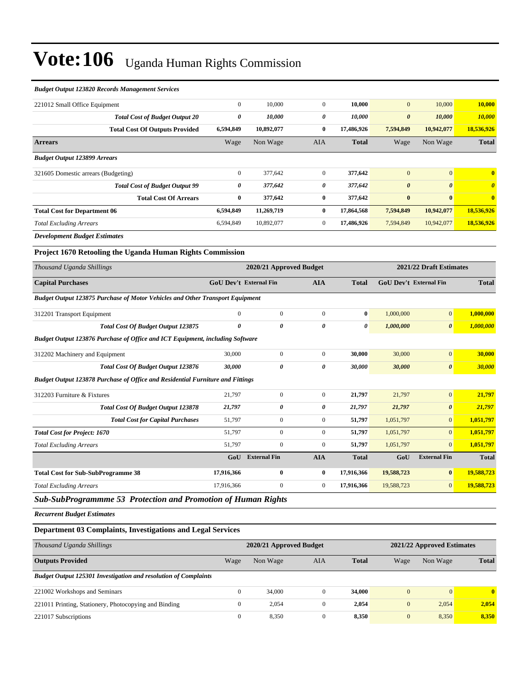#### *Budget Output 123820 Records Management Services*

| 221012 Small Office Equipment                                                         | $\boldsymbol{0}$              | 10,000                  | $\overline{0}$        | 10,000                | $\overline{0}$                | 10,000                  | 10,000                |
|---------------------------------------------------------------------------------------|-------------------------------|-------------------------|-----------------------|-----------------------|-------------------------------|-------------------------|-----------------------|
| <b>Total Cost of Budget Output 20</b>                                                 | $\pmb{\theta}$                | 10,000                  | $\boldsymbol{\theta}$ | 10,000                | $\boldsymbol{\theta}$         | 10,000                  | 10,000                |
| <b>Total Cost Of Outputs Provided</b>                                                 | 6,594,849                     | 10,892,077              | $\bf{0}$              | 17,486,926            | 7,594,849                     | 10,942,077              | 18,536,926            |
| <b>Arrears</b>                                                                        | Wage                          | Non Wage                | <b>AIA</b>            | <b>Total</b>          | Wage                          | Non Wage                | <b>Total</b>          |
| <b>Budget Output 123899 Arrears</b>                                                   |                               |                         |                       |                       |                               |                         |                       |
| 321605 Domestic arrears (Budgeting)                                                   | $\mathbf{0}$                  | 377,642                 | $\overline{0}$        | 377,642               | $\overline{0}$                | $\mathbf{0}$            | $\bf{0}$              |
| <b>Total Cost of Budget Output 99</b>                                                 | $\pmb{\theta}$                | 377,642                 | $\pmb{\theta}$        | 377,642               | $\boldsymbol{\theta}$         | $\boldsymbol{\theta}$   | $\boldsymbol{\theta}$ |
| <b>Total Cost Of Arrears</b>                                                          | $\bf{0}$                      | 377,642                 | $\bf{0}$              | 377,642               | $\bf{0}$                      | $\bf{0}$                | $\bf{0}$              |
| <b>Total Cost for Department 06</b>                                                   | 6,594,849                     | 11,269,719              | $\bf{0}$              | 17,864,568            | 7,594,849                     | 10,942,077              | 18,536,926            |
| <b>Total Excluding Arrears</b>                                                        | 6,594,849                     | 10,892,077              | $\mathbf{0}$          | 17,486,926            | 7,594,849                     | 10,942,077              | 18,536,926            |
| <b>Development Budget Estimates</b>                                                   |                               |                         |                       |                       |                               |                         |                       |
| Project 1670 Retooling the Uganda Human Rights Commission                             |                               |                         |                       |                       |                               |                         |                       |
| Thousand Uganda Shillings                                                             |                               | 2020/21 Approved Budget |                       |                       |                               | 2021/22 Draft Estimates |                       |
| <b>Capital Purchases</b>                                                              | <b>GoU Dev't External Fin</b> |                         | <b>AIA</b>            | <b>Total</b>          | <b>GoU Dev't External Fin</b> |                         | <b>Total</b>          |
| <b>Budget Output 123875 Purchase of Motor Vehicles and Other Transport Equipment</b>  |                               |                         |                       |                       |                               |                         |                       |
| 312201 Transport Equipment                                                            | $\Omega$                      | $\overline{0}$          | $\mathbf{0}$          | $\bf{0}$              | 1,000,000                     | $\overline{0}$          | 1.000.000             |
| Total Cost Of Budget Output 123875                                                    | $\boldsymbol{\theta}$         | $\boldsymbol{\theta}$   | $\boldsymbol{\theta}$ | $\boldsymbol{\theta}$ | 1,000,000                     | $\boldsymbol{\theta}$   | 1,000,000             |
| <b>Budget Output 123876 Purchase of Office and ICT Equipment, including Software</b>  |                               |                         |                       |                       |                               |                         |                       |
| 312202 Machinery and Equipment                                                        | 30,000                        | $\overline{0}$          | $\mathbf{0}$          | 30,000                | 30,000                        | $\overline{0}$          | 30,000                |
| Total Cost Of Budget Output 123876                                                    | 30,000                        | $\boldsymbol{\theta}$   | $\boldsymbol{\theta}$ | 30,000                | 30,000                        | $\boldsymbol{\theta}$   | 30,000                |
| <b>Budget Output 123878 Purchase of Office and Residential Furniture and Fittings</b> |                               |                         |                       |                       |                               |                         |                       |
| 312203 Furniture & Fixtures                                                           | 21,797                        | $\Omega$                | $\mathbf{0}$          | 21,797                | 21,797                        | $\overline{0}$          | 21,797                |
| Total Cost Of Budget Output 123878                                                    | 21,797                        | $\boldsymbol{\theta}$   | $\boldsymbol{\theta}$ | 21,797                | 21,797                        | $\boldsymbol{\theta}$   | 21,797                |
| <b>Total Cost for Capital Purchases</b>                                               | 51,797                        | $\overline{0}$          | $\mathbf{0}$          | 51.797                | 1.051.797                     | $\overline{0}$          | 1,051,797             |
| <b>Total Cost for Project: 1670</b>                                                   | 51,797                        | $\mathbf{0}$            | $\mathbf{0}$          | 51,797                | 1,051,797                     | $\overline{0}$          | 1,051,797             |
| <b>Total Excluding Arrears</b>                                                        | 51,797                        | $\mathbf{0}$            | $\mathbf{0}$          | 51,797                | 1,051,797                     | $\overline{0}$          | 1,051,797             |
|                                                                                       | GoU                           | <b>External Fin</b>     | <b>AIA</b>            | <b>Total</b>          | GoU                           | <b>External Fin</b>     | <b>Total</b>          |
| <b>Total Cost for Sub-SubProgramme 38</b>                                             | 17,916,366                    | $\bf{0}$                | $\bf{0}$              | 17,916,366            | 19,588,723                    | $\bf{0}$                | 19,588,723            |
| <b>Total Excluding Arrears</b>                                                        | 17,916,366                    | $\mathbf{0}$            | $\mathbf{0}$          | 17,916,366            | 19,588,723                    | $\overline{0}$          | 19,588,723            |

*Sub-SubProgrammme 53 Protection and Promotion of Human Rights*

*Recurrent Budget Estimates*

#### **Department 03 Complaints, Investigations and Legal Services**

| Thousand Uganda Shillings                                              |      | 2020/21 Approved Budget |     |              |              | 2021/22 Approved Estimates |              |
|------------------------------------------------------------------------|------|-------------------------|-----|--------------|--------------|----------------------------|--------------|
| <b>Outputs Provided</b>                                                | Wage | Non Wage                | AIA | <b>Total</b> | Wage         | Non Wage                   | <b>Total</b> |
| <b>Budget Output 125301 Investigation and resolution of Complaints</b> |      |                         |     |              |              |                            |              |
| 221002 Workshops and Seminars                                          | 0    | 34,000                  |     | 34,000       | $\mathbf{0}$ | $\overline{0}$             | $\mathbf{0}$ |
| 221011 Printing, Stationery, Photocopying and Binding                  |      | 2,054                   |     | 2,054        | $\mathbf{0}$ | 2,054                      | 2,054        |
| 221017 Subscriptions                                                   | 0    | 8,350                   |     | 8,350        | $\mathbf{0}$ | 8,350                      | 8,350        |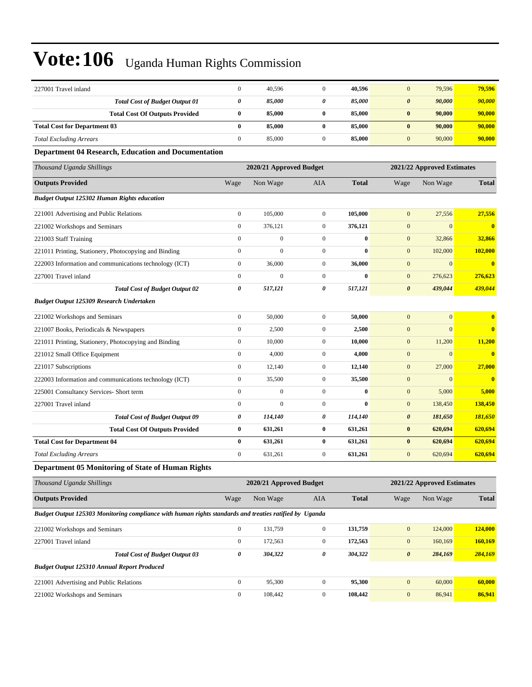| 227001 Travel inland                                                                                   | $\boldsymbol{0}$ | 40,596                  | $\mathbf{0}$     | 40,596       | $\boldsymbol{0}$      | 79,596                     | 79,596       |
|--------------------------------------------------------------------------------------------------------|------------------|-------------------------|------------------|--------------|-----------------------|----------------------------|--------------|
| <b>Total Cost of Budget Output 01</b>                                                                  | 0                | 85,000                  | 0                | 85,000       | $\boldsymbol{\theta}$ | 90,000                     | 90,000       |
| <b>Total Cost Of Outputs Provided</b>                                                                  | $\bf{0}$         | 85,000                  | $\bf{0}$         | 85,000       | $\bf{0}$              | 90,000                     | 90,000       |
| <b>Total Cost for Department 03</b>                                                                    | $\bf{0}$         | 85,000                  | $\bf{0}$         | 85,000       | $\bf{0}$              | 90,000                     | 90,000       |
| <b>Total Excluding Arrears</b>                                                                         | $\boldsymbol{0}$ | 85,000                  | $\boldsymbol{0}$ | 85,000       | $\mathbf{0}$          | 90,000                     | 90,000       |
| <b>Department 04 Research, Education and Documentation</b>                                             |                  |                         |                  |              |                       |                            |              |
| Thousand Uganda Shillings                                                                              |                  | 2020/21 Approved Budget |                  |              |                       | 2021/22 Approved Estimates |              |
| <b>Outputs Provided</b>                                                                                | Wage             | Non Wage                | AIA              | <b>Total</b> | Wage                  | Non Wage                   | <b>Total</b> |
| <b>Budget Output 125302 Human Rights education</b>                                                     |                  |                         |                  |              |                       |                            |              |
| 221001 Advertising and Public Relations                                                                | $\boldsymbol{0}$ | 105,000                 | $\boldsymbol{0}$ | 105,000      | $\mathbf{0}$          | 27,556                     | 27,556       |
| 221002 Workshops and Seminars                                                                          | $\boldsymbol{0}$ | 376,121                 | $\boldsymbol{0}$ | 376,121      | $\mathbf{0}$          | $\mathbf{0}$               | $\mathbf{0}$ |
| 221003 Staff Training                                                                                  | $\boldsymbol{0}$ | $\boldsymbol{0}$        | $\boldsymbol{0}$ | $\bf{0}$     | $\mathbf{0}$          | 32,866                     | 32,866       |
| 221011 Printing, Stationery, Photocopying and Binding                                                  | $\boldsymbol{0}$ | $\mathbf{0}$            | $\mathbf{0}$     | $\bf{0}$     | $\boldsymbol{0}$      | 102,000                    | 102,000      |
| 222003 Information and communications technology (ICT)                                                 | $\boldsymbol{0}$ | 36,000                  | $\boldsymbol{0}$ | 36,000       | $\mathbf{0}$          | $\mathbf{0}$               | $\mathbf{0}$ |
| 227001 Travel inland                                                                                   | $\boldsymbol{0}$ | $\mathbf{0}$            | $\boldsymbol{0}$ | $\bf{0}$     | $\boldsymbol{0}$      | 276,623                    | 276,623      |
| <b>Total Cost of Budget Output 02</b>                                                                  | 0                | 517,121                 | $\pmb{\theta}$   | 517,121      | $\boldsymbol{\theta}$ | 439,044                    | 439,044      |
| <b>Budget Output 125309 Research Undertaken</b>                                                        |                  |                         |                  |              |                       |                            |              |
| 221002 Workshops and Seminars                                                                          | $\boldsymbol{0}$ | 50,000                  | $\mathbf{0}$     | 50,000       | $\boldsymbol{0}$      | $\boldsymbol{0}$           | $\bf{0}$     |
| 221007 Books, Periodicals & Newspapers                                                                 | $\boldsymbol{0}$ | 2,500                   | $\mathbf{0}$     | 2,500        | $\mathbf{0}$          | $\overline{0}$             | $\mathbf{0}$ |
| 221011 Printing, Stationery, Photocopying and Binding                                                  | $\boldsymbol{0}$ | 10,000                  | $\boldsymbol{0}$ | 10,000       | $\mathbf{0}$          | 11,200                     | 11,200       |
| 221012 Small Office Equipment                                                                          | $\boldsymbol{0}$ | 4,000                   | $\mathbf{0}$     | 4,000        | $\mathbf{0}$          | $\boldsymbol{0}$           | $\bf{0}$     |
| 221017 Subscriptions                                                                                   | $\boldsymbol{0}$ | 12,140                  | $\boldsymbol{0}$ | 12,140       | $\mathbf{0}$          | 27,000                     | 27,000       |
| 222003 Information and communications technology (ICT)                                                 | $\boldsymbol{0}$ | 35,500                  | $\boldsymbol{0}$ | 35,500       | $\mathbf{0}$          | $\mathbf{0}$               | $\bf{0}$     |
| 225001 Consultancy Services- Short term                                                                | $\boldsymbol{0}$ | $\mathbf{0}$            | $\mathbf{0}$     | $\bf{0}$     | $\mathbf{0}$          | 5,000                      | 5,000        |
| 227001 Travel inland                                                                                   | $\boldsymbol{0}$ | $\mathbf{0}$            | $\mathbf{0}$     | $\bf{0}$     | $\mathbf{0}$          | 138,450                    | 138,450      |
| <b>Total Cost of Budget Output 09</b>                                                                  | 0                | 114,140                 | 0                | 114,140      | $\pmb{\theta}$        | 181,650                    | 181,650      |
| <b>Total Cost Of Outputs Provided</b>                                                                  | $\pmb{0}$        | 631,261                 | $\bf{0}$         | 631,261      | $\bf{0}$              | 620,694                    | 620,694      |
| <b>Total Cost for Department 04</b>                                                                    | $\bf{0}$         | 631,261                 | $\bf{0}$         | 631,261      | $\bf{0}$              | 620,694                    | 620,694      |
| <b>Total Excluding Arrears</b>                                                                         | $\boldsymbol{0}$ | 631,261                 | $\mathbf{0}$     | 631,261      | $\mathbf{0}$          | 620,694                    | 620,694      |
| <b>Department 05 Monitoring of State of Human Rights</b>                                               |                  |                         |                  |              |                       |                            |              |
| Thousand Uganda Shillings                                                                              |                  | 2020/21 Approved Budget |                  |              |                       | 2021/22 Approved Estimates |              |
| <b>Outputs Provided</b>                                                                                | Wage             | Non Wage                | AIA              | <b>Total</b> | Wage                  | Non Wage                   | <b>Total</b> |
| Budget Output 125303 Monitoring compliance with human rights standards and treaties ratified by Uganda |                  |                         |                  |              |                       |                            |              |
| 221002 Workshops and Seminars                                                                          | $\boldsymbol{0}$ | 131,759                 | $\boldsymbol{0}$ | 131,759      | $\boldsymbol{0}$      | 124,000                    | 124,000      |
| 227001 Travel inland                                                                                   | $\boldsymbol{0}$ | 172,563                 | $\boldsymbol{0}$ | 172,563      | $\mathbf{0}$          | 160,169                    | 160,169      |
| <b>Total Cost of Budget Output 03</b>                                                                  | 0                | 304,322                 | 0                | 304,322      | $\boldsymbol{\theta}$ | 284,169                    | 284,169      |
| <b>Budget Output 125310 Annual Report Produced</b>                                                     |                  |                         |                  |              |                       |                            |              |
| 221001 Advertising and Public Relations                                                                | $\boldsymbol{0}$ | 95,300                  | $\overline{0}$   | 95,300       | $\mathbf{0}$          | 60,000                     | 60,000       |
| 221002 Workshops and Seminars                                                                          | $\boldsymbol{0}$ | 108,442                 | $\overline{0}$   | 108,442      | $\boldsymbol{0}$      | 86,941                     | 86,941       |